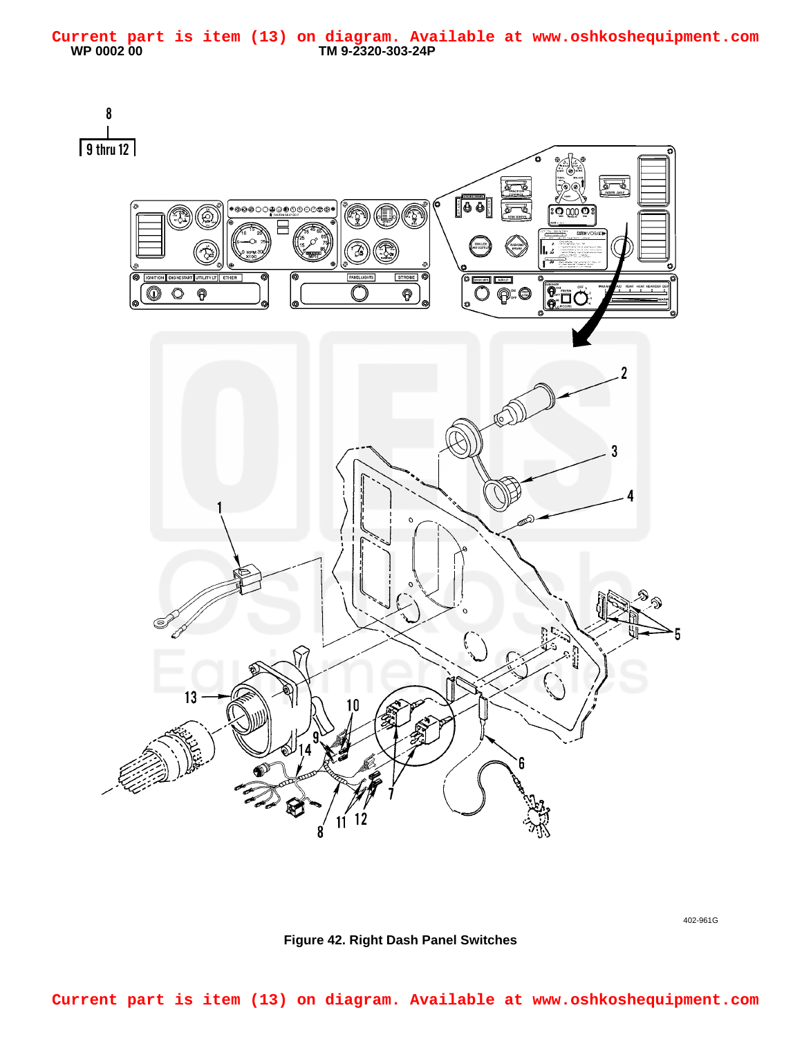<span id="page-0-0"></span>

402-961G

**Figure 42. Right Dash Panel Switches**